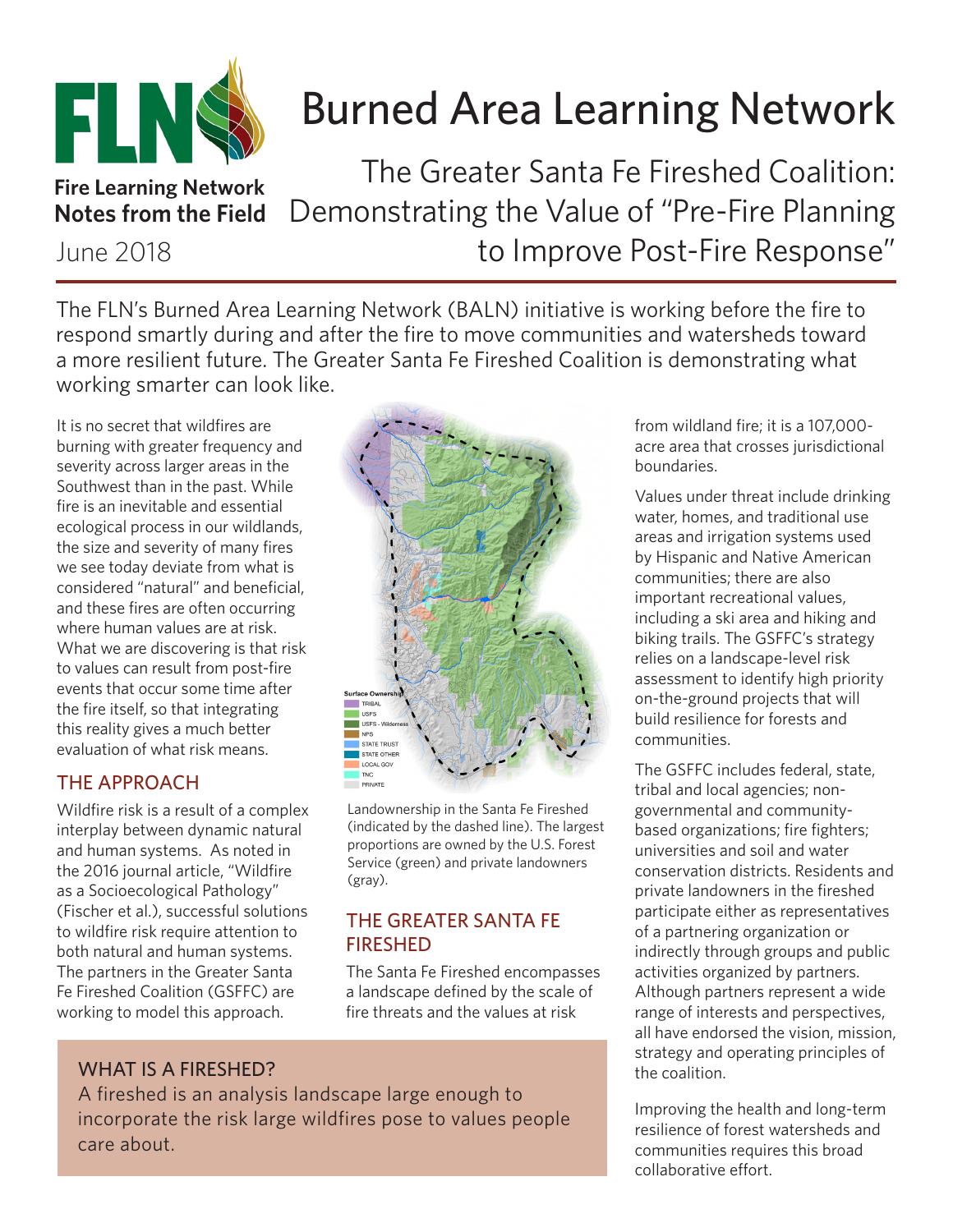

# Burned Area Learning Network

**Fire Learning Network Notes from the Field**

June 2018

The Greater Santa Fe Fireshed Coalition: Demonstrating the Value of "Pre-Fire Planning to Improve Post-Fire Response"

The FLN's Burned Area Learning Network (BALN) initiative is working before the fire to respond smartly during and after the fire to move communities and watersheds toward a more resilient future. The Greater Santa Fe Fireshed Coalition is demonstrating what working smarter can look like.

It is no secret that wildfires are burning with greater frequency and severity across larger areas in the Southwest than in the past. While fire is an inevitable and essential ecological process in our wildlands, the size and severity of many fires we see today deviate from what is considered "natural" and beneficial, and these fires are often occurring where human values are at risk. What we are discovering is that risk to values can result from post-fire events that occur some time after the fire itself, so that integrating this reality gives a much better evaluation of what risk means.

## THE APPROACH

Wildfire risk is a result of a complex interplay between dynamic natural and human systems. As noted in the 2016 journal article, "Wildfire as a Socioecological Pathology" (Fischer et al.), successful solutions to wildfire risk require attention to both natural and human systems. The partners in the Greater Santa Fe Fireshed Coalition (GSFFC) are working to model this approach.



Landownership in the Santa Fe Fireshed (indicated by the dashed line). The largest proportions are owned by the U.S. Forest Service (green) and private landowners (gray).

## THE GREATER SANTA FE FIRESHED

The Santa Fe Fireshed encompasses a landscape defined by the scale of fire threats and the values at risk

## WHAT IS A FIRESHED?

A fireshed is an analysis landscape large enough to incorporate the risk large wildfires pose to values people care about.

from wildland fire; it is a 107,000 acre area that crosses jurisdictional boundaries.

Values under threat include drinking water, homes, and traditional use areas and irrigation systems used by Hispanic and Native American communities; there are also important recreational values, including a ski area and hiking and biking trails. The GSFFC's strategy relies on a landscape-level risk assessment to identify high priority on-the-ground projects that will build resilience for forests and communities.

The GSFFC includes federal, state, tribal and local agencies; nongovernmental and communitybased organizations; fire fighters; universities and soil and water conservation districts. Residents and private landowners in the fireshed participate either as representatives of a partnering organization or indirectly through groups and public activities organized by partners. Although partners represent a wide range of interests and perspectives, all have endorsed the vision, mission, strategy and operating principles of the coalition.

Improving the health and long-term resilience of forest watersheds and communities requires this broad collaborative effort.